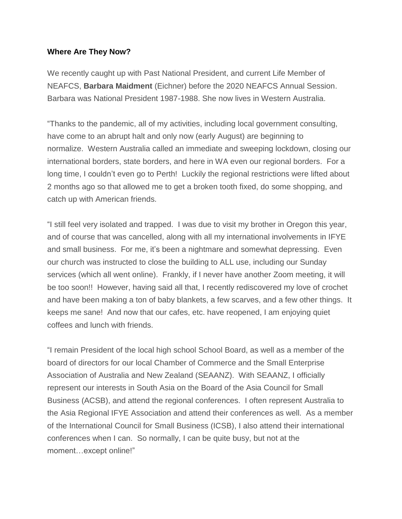## **Where Are They Now?**

We recently caught up with Past National President, and current Life Member of NEAFCS, **Barbara Maidment** (Eichner) before the 2020 NEAFCS Annual Session. Barbara was National President 1987-1988. She now lives in Western Australia.

"Thanks to the pandemic, all of my activities, including local government consulting, have come to an abrupt halt and only now (early August) are beginning to normalize. Western Australia called an immediate and sweeping lockdown, closing our international borders, state borders, and here in WA even our regional borders. For a long time, I couldn't even go to Perth! Luckily the regional restrictions were lifted about 2 months ago so that allowed me to get a broken tooth fixed, do some shopping, and catch up with American friends.

"I still feel very isolated and trapped. I was due to visit my brother in Oregon this year, and of course that was cancelled, along with all my international involvements in IFYE and small business. For me, it's been a nightmare and somewhat depressing. Even our church was instructed to close the building to ALL use, including our Sunday services (which all went online). Frankly, if I never have another Zoom meeting, it will be too soon!! However, having said all that, I recently rediscovered my love of crochet and have been making a ton of baby blankets, a few scarves, and a few other things. It keeps me sane! And now that our cafes, etc. have reopened, I am enjoying quiet coffees and lunch with friends.

"I remain President of the local high school School Board, as well as a member of the board of directors for our local Chamber of Commerce and the Small Enterprise Association of Australia and New Zealand (SEAANZ). With SEAANZ, I officially represent our interests in South Asia on the Board of the Asia Council for Small Business (ACSB), and attend the regional conferences. I often represent Australia to the Asia Regional IFYE Association and attend their conferences as well. As a member of the International Council for Small Business (ICSB), I also attend their international conferences when I can. So normally, I can be quite busy, but not at the moment...except online!"